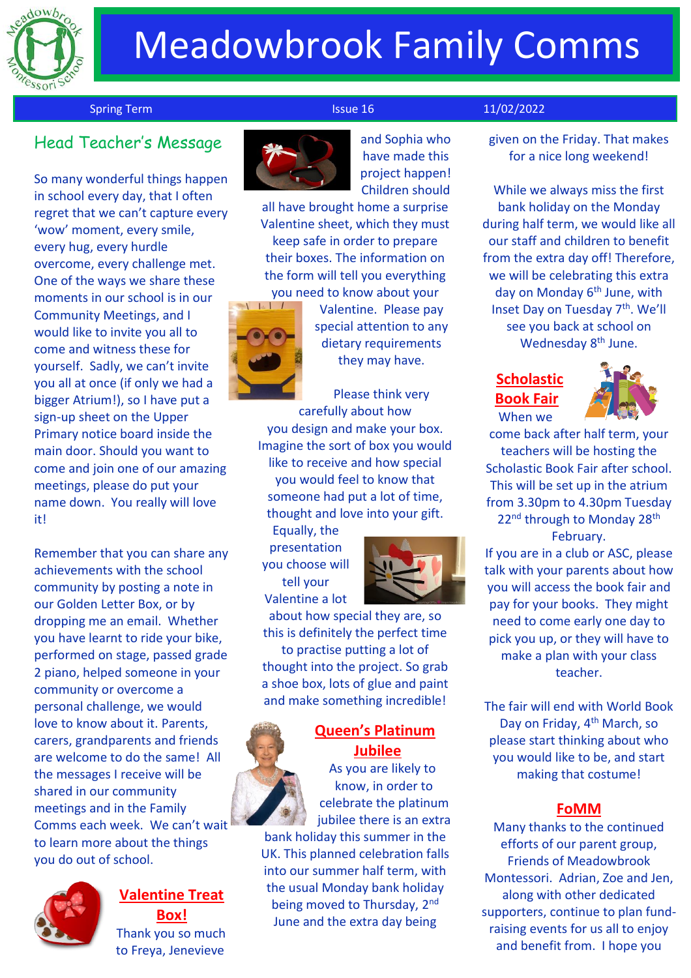

# Meadowbrook Family Comms

Spring Term **Issue 16** 11/02/2022

## Head Teacher's Message

So many wonderful things happen in school every day, that I often regret that we can't capture every 'wow' moment, every smile, every hug, every hurdle overcome, every challenge met. One of the ways we share these moments in our school is in our Community Meetings, and I would like to invite you all to come and witness these for yourself. Sadly, we can't invite you all at once (if only we had a bigger Atrium!), so I have put a sign-up sheet on the Upper Primary notice board inside the main door. Should you want to come and join one of our amazing meetings, please do put your name down. You really will love it!

Remember that you can share any achievements with the school community by posting a note in our Golden Letter Box, or by dropping me an email. Whether you have learnt to ride your bike, performed on stage, passed grade 2 piano, helped someone in your community or overcome a personal challenge, we would love to know about it. Parents, carers, grandparents and friends are welcome to do the same! All the messages I receive will be shared in our community meetings and in the Family Comms each week. We can't wait to learn more about the things you do out of school.



### **Valentine Treat Box!** Thank you so much to Freya, Jenevieve



and Sophia who have made this project happen! Children should

all have brought home a surprise Valentine sheet, which they must keep safe in order to prepare their boxes. The information on the form will tell you everything **you need to know about your** 



Valentine. Please pay special attention to any dietary requirements they may have.

Please think very carefully about how you design and make your box. Imagine the sort of box you would like to receive and how special you would feel to know that someone had put a lot of time, thought and love into your gift.

Equally, the presentation you choose will tell your Valentine a lot



about how special they are, so this is definitely the perfect time to practise putting a lot of thought into the project. So grab a shoe box, lots of glue and paint and make something incredible!

## **Queen's Platinum Jubilee**

As you are likely to know, in order to celebrate the platinum jubilee there is an extra bank holiday this summer in the

UK. This planned celebration falls into our summer half term, with the usual Monday bank holiday being moved to Thursday, 2<sup>nd</sup> June and the extra day being

given on the Friday. That makes for a nice long weekend!

While we always miss the first bank holiday on the Monday during half term, we would like all our staff and children to benefit from the extra day off! Therefore, we will be celebrating this extra day on Monday 6<sup>th</sup> June, with Inset Day on Tuesday 7<sup>th</sup>. We'll see you back at school on Wednesday 8<sup>th</sup> June.

### **Scholastic Book Fair** When we



come back after half term, your teachers will be hosting the Scholastic Book Fair after school. This will be set up in the atrium from 3.30pm to 4.30pm Tuesday 22<sup>nd</sup> through to Monday 28<sup>th</sup> February.

If you are in a club or ASC, please talk with your parents about how you will access the book fair and pay for your books. They might need to come early one day to pick you up, or they will have to make a plan with your class teacher.

The fair will end with World Book Day on Friday, 4<sup>th</sup> March, so please start thinking about who you would like to be, and start making that costume!

### **FoMM**

Many thanks to the continued efforts of our parent group, Friends of Meadowbrook Montessori. Adrian, Zoe and Jen, along with other dedicated supporters, continue to plan fundraising events for us all to enjoy and benefit from. I hope you